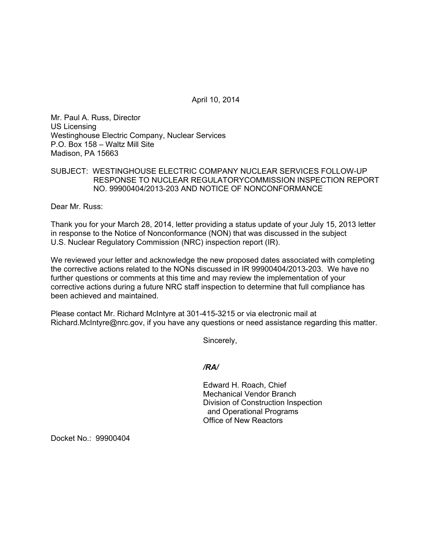April 10, 2014

Mr. Paul A. Russ, Director US Licensing Westinghouse Electric Company, Nuclear Services P.O. Box 158 – Waltz Mill Site Madison, PA 15663

## SUBJECT: WESTINGHOUSE ELECTRIC COMPANY NUCLEAR SERVICES FOLLOW-UP RESPONSE TO NUCLEAR REGULATORYCOMMISSION INSPECTION REPORT NO. 99900404/2013-203 AND NOTICE OF NONCONFORMANCE

Dear Mr. Russ:

Thank you for your March 28, 2014, letter providing a status update of your July 15, 2013 letter in response to the Notice of Nonconformance (NON) that was discussed in the subject U.S. Nuclear Regulatory Commission (NRC) inspection report (IR).

We reviewed your letter and acknowledge the new proposed dates associated with completing the corrective actions related to the NONs discussed in IR 99900404/2013-203. We have no further questions or comments at this time and may review the implementation of your corrective actions during a future NRC staff inspection to determine that full compliance has been achieved and maintained.

Please contact Mr. Richard McIntyre at 301-415-3215 or via electronic mail at Richard.McIntyre@nrc.gov, if you have any questions or need assistance regarding this matter.

Sincerely,

## */RA/*

Edward H. Roach, Chief Mechanical Vendor Branch Division of Construction Inspection and Operational Programs Office of New Reactors

Docket No.: 99900404